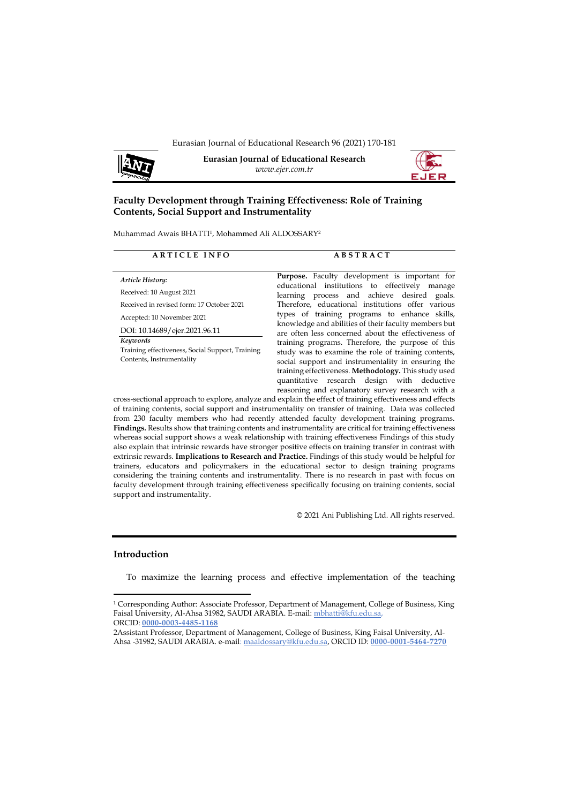

**Eurasian Journal of Educational Research** *www.ejer.com.tr*



# **Faculty Development through Training Effectiveness: Role of Training Contents, Social Support and Instrumentality**

Muhammad Awais BHATTI<sup>1</sup> , Mohammed Ali ALDOSSARY<sup>2</sup>

## **A R T I C L E I N F O A B S T R A C T**

*Article History:* Received: 10 August 2021 Received in revised form: 17 October 2021 Accepted: 10 November 2021

DOI: 10.14689/ejer.2021.96.11

*Keywords* Training effectiveness, Social Support, Training Contents, Instrumentality

**Purpose.** Faculty development is important for educational institutions to effectively manage learning process and achieve desired goals. Therefore, educational institutions offer various types of training programs to enhance skills, knowledge and abilities of their faculty members but are often less concerned about the effectiveness of training programs. Therefore, the purpose of this study was to examine the role of training contents, social support and instrumentality in ensuring the training effectiveness. **Methodology.** This study used quantitative research design with deductive reasoning and explanatory survey research with a

cross-sectional approach to explore, analyze and explain the effect of training effectiveness and effects of training contents, social support and instrumentality on transfer of training. Data was collected from 230 faculty members who had recently attended faculty development training programs. **Findings.** Results show that training contents and instrumentality are critical for training effectiveness whereas social support shows a weak relationship with training effectiveness Findings of this study also explain that intrinsic rewards have stronger positive effects on training transfer in contrast with extrinsic rewards. **Implications to Research and Practice.** Findings of this study would be helpful for trainers, educators and policymakers in the educational sector to design training programs considering the training contents and instrumentality. There is no research in past with focus on faculty development through training effectiveness specifically focusing on training contents, social support and instrumentality.

© 2021 Ani Publishing Ltd. All rights reserved.

## **Introduction**

To maximize the learning process and effective implementation of the teaching

<sup>1</sup> Corresponding Author: Associate Professor, Department of Management, College of Business, King Faisal University, Al-Ahsa 31982, SAUDI ARABIA. E-mail[: mbhatti@kfu.edu.sa,](file:///C:/Users/109525/Documents/Journals%20Publications/EJER/96-97/mbhatti@kfu.edu.sa) ORCID: **0000-0003-4485-1168**

<sup>2</sup>Assistant Professor, Department of Management, College of Business, King Faisal University, Al-Ahsa -31982, SAUDI ARABIA. e-mail[: maaldossary@kfu.edu.sa,](mailto:maaldossary@kfu.edu.sa) ORCID ID: **0000-0001-5464-7270**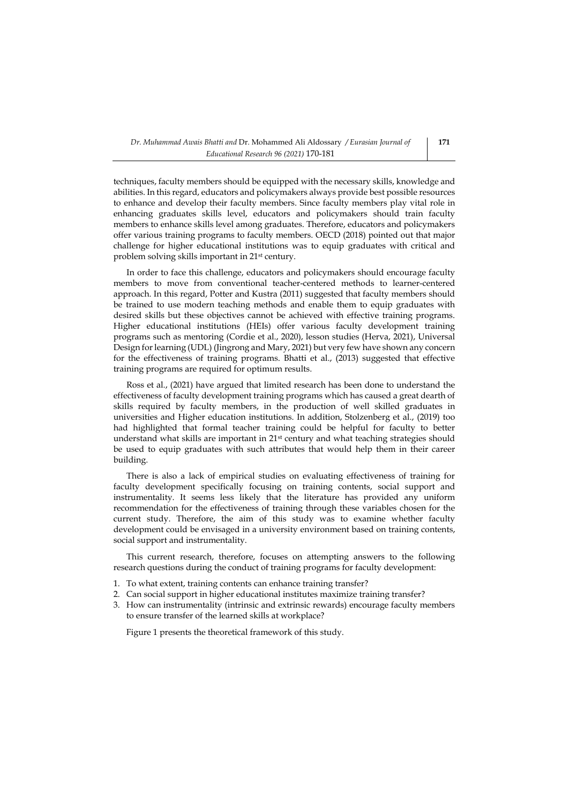techniques, faculty members should be equipped with the necessary skills, knowledge and abilities. In this regard, educators and policymakers always provide best possible resources to enhance and develop their faculty members. Since faculty members play vital role in enhancing graduates skills level, educators and policymakers should train faculty members to enhance skills level among graduates. Therefore, educators and policymakers offer various training programs to faculty members. OECD (2018) pointed out that major challenge for higher educational institutions was to equip graduates with critical and problem solving skills important in 21st century.

In order to face this challenge, educators and policymakers should encourage faculty members to move from conventional teacher-centered methods to learner-centered approach. In this regard, Potter and Kustra (2011) suggested that faculty members should be trained to use modern teaching methods and enable them to equip graduates with desired skills but these objectives cannot be achieved with effective training programs. Higher educational institutions (HEIs) offer various faculty development training programs such as mentoring (Cordie et al., 2020), lesson studies (Herva, 2021), Universal Design for learning (UDL) (Jingrong and Mary, 2021) but very few have shown any concern for the effectiveness of training programs. Bhatti et al., (2013) suggested that effective training programs are required for optimum results.

Ross et al., (2021) have argued that limited research has been done to understand the effectiveness of faculty development training programs which has caused a great dearth of skills required by faculty members, in the production of well skilled graduates in universities and Higher education institutions. In addition, Stolzenberg et al., (2019) too had highlighted that formal teacher training could be helpful for faculty to better understand what skills are important in 21st century and what teaching strategies should be used to equip graduates with such attributes that would help them in their career building.

There is also a lack of empirical studies on evaluating effectiveness of training for faculty development specifically focusing on training contents, social support and instrumentality. It seems less likely that the literature has provided any uniform recommendation for the effectiveness of training through these variables chosen for the current study. Therefore, the aim of this study was to examine whether faculty development could be envisaged in a university environment based on training contents, social support and instrumentality.

This current research, therefore, focuses on attempting answers to the following research questions during the conduct of training programs for faculty development:

- 1. To what extent, training contents can enhance training transfer?
- 2. Can social support in higher educational institutes maximize training transfer?
- 3. How can instrumentality (intrinsic and extrinsic rewards) encourage faculty members to ensure transfer of the learned skills at workplace?

Figure 1 presents the theoretical framework of this study.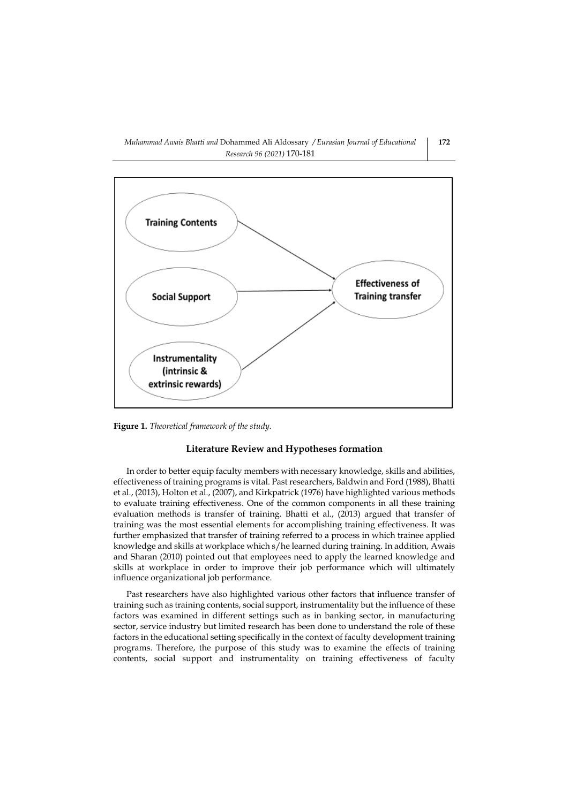

**Figure 1.** *Theoretical framework of the study.*

## **Literature Review and Hypotheses formation**

In order to better equip faculty members with necessary knowledge, skills and abilities, effectiveness of training programs is vital. Past researchers, Baldwin and Ford (1988), Bhatti et al., (2013), Holton et al., (2007), and Kirkpatrick (1976) have highlighted various methods to evaluate training effectiveness. One of the common components in all these training evaluation methods is transfer of training. Bhatti et al., (2013) argued that transfer of training was the most essential elements for accomplishing training effectiveness. It was further emphasized that transfer of training referred to a process in which trainee applied knowledge and skills at workplace which s/he learned during training. In addition, Awais and Sharan (2010) pointed out that employees need to apply the learned knowledge and skills at workplace in order to improve their job performance which will ultimately influence organizational job performance.

Past researchers have also highlighted various other factors that influence transfer of training such as training contents, social support, instrumentality but the influence of these factors was examined in different settings such as in banking sector, in manufacturing sector, service industry but limited research has been done to understand the role of these factors in the educational setting specifically in the context of faculty development training programs. Therefore, the purpose of this study was to examine the effects of training contents, social support and instrumentality on training effectiveness of faculty

**172**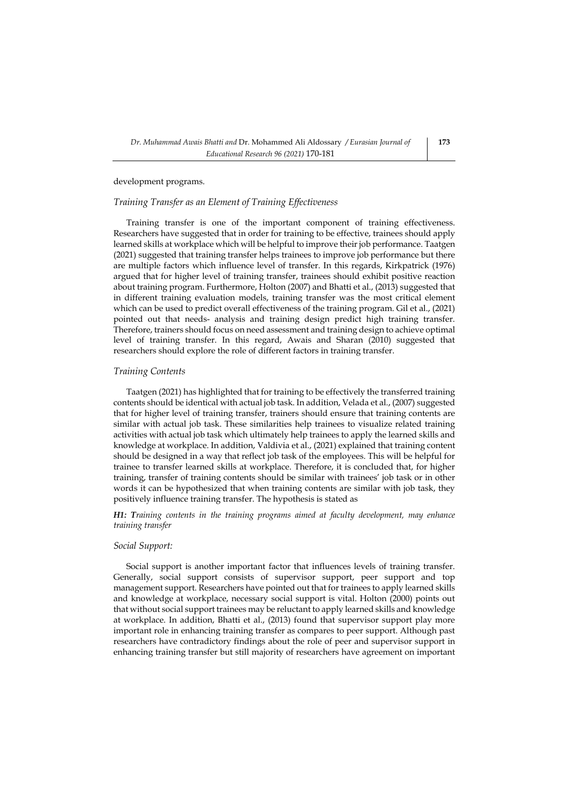development programs.

## *Training Transfer as an Element of Training Effectiveness*

Training transfer is one of the important component of training effectiveness. Researchers have suggested that in order for training to be effective, trainees should apply learned skills at workplace which will be helpful to improve their job performance. Taatgen (2021) suggested that training transfer helps trainees to improve job performance but there are multiple factors which influence level of transfer. In this regards, Kirkpatrick (1976) argued that for higher level of training transfer, trainees should exhibit positive reaction about training program. Furthermore, Holton (2007) and Bhatti et al., (2013) suggested that in different training evaluation models, training transfer was the most critical element which can be used to predict overall effectiveness of the training program. Gil et al., (2021) pointed out that needs- analysis and training design predict high training transfer. Therefore, trainers should focus on need assessment and training design to achieve optimal level of training transfer. In this regard, Awais and Sharan (2010) suggested that researchers should explore the role of different factors in training transfer.

## *Training Contents*

Taatgen (2021) has highlighted that for training to be effectively the transferred training contents should be identical with actual job task. In addition, Velada et al., (2007) suggested that for higher level of training transfer, trainers should ensure that training contents are similar with actual job task. These similarities help trainees to visualize related training activities with actual job task which ultimately help trainees to apply the learned skills and knowledge at workplace. In addition, Valdivia et al., (2021) explained that training content should be designed in a way that reflect job task of the employees. This will be helpful for trainee to transfer learned skills at workplace. Therefore, it is concluded that, for higher training, transfer of training contents should be similar with trainees' job task or in other words it can be hypothesized that when training contents are similar with job task, they positively influence training transfer. The hypothesis is stated as

# *H1: Training contents in the training programs aimed at faculty development, may enhance training transfer*

### *Social Support:*

Social support is another important factor that influences levels of training transfer. Generally, social support consists of supervisor support, peer support and top management support. Researchers have pointed out that for trainees to apply learned skills and knowledge at workplace, necessary social support is vital. Holton (2000) points out that without social support trainees may be reluctant to apply learned skills and knowledge at workplace. In addition, Bhatti et al., (2013) found that supervisor support play more important role in enhancing training transfer as compares to peer support. Although past researchers have contradictory findings about the role of peer and supervisor support in enhancing training transfer but still majority of researchers have agreement on important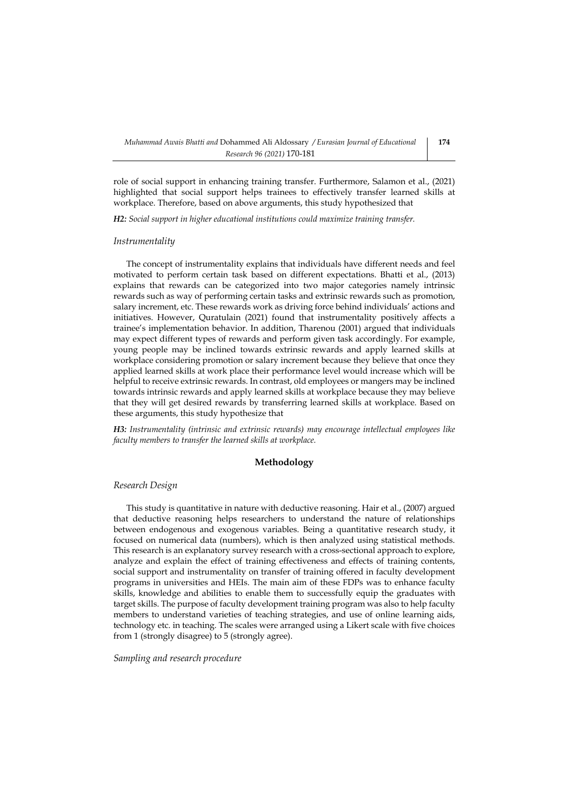role of social support in enhancing training transfer. Furthermore, Salamon et al., (2021) highlighted that social support helps trainees to effectively transfer learned skills at workplace. Therefore, based on above arguments, this study hypothesized that

*H2: Social support in higher educational institutions could maximize training transfer.*

## *Instrumentality*

The concept of instrumentality explains that individuals have different needs and feel motivated to perform certain task based on different expectations. Bhatti et al., (2013) explains that rewards can be categorized into two major categories namely intrinsic rewards such as way of performing certain tasks and extrinsic rewards such as promotion, salary increment, etc. These rewards work as driving force behind individuals' actions and initiatives. However, Quratulain (2021) found that instrumentality positively affects a trainee's implementation behavior. In addition, Tharenou (2001) argued that individuals may expect different types of rewards and perform given task accordingly. For example, young people may be inclined towards extrinsic rewards and apply learned skills at workplace considering promotion or salary increment because they believe that once they applied learned skills at work place their performance level would increase which will be helpful to receive extrinsic rewards. In contrast, old employees or mangers may be inclined towards intrinsic rewards and apply learned skills at workplace because they may believe that they will get desired rewards by transferring learned skills at workplace. Based on these arguments, this study hypothesize that

*H3: Instrumentality (intrinsic and extrinsic rewards) may encourage intellectual employees like faculty members to transfer the learned skills at workplace.*

## **Methodology**

# *Research Design*

This study is quantitative in nature with deductive reasoning. Hair et al., (2007) argued that deductive reasoning helps researchers to understand the nature of relationships between endogenous and exogenous variables. Being a quantitative research study, it focused on numerical data (numbers), which is then analyzed using statistical methods. This research is an explanatory survey research with a cross-sectional approach to explore, analyze and explain the effect of training effectiveness and effects of training contents, social support and instrumentality on transfer of training offered in faculty development programs in universities and HEIs. The main aim of these FDPs was to enhance faculty skills, knowledge and abilities to enable them to successfully equip the graduates with target skills. The purpose of faculty development training program was also to help faculty members to understand varieties of teaching strategies, and use of online learning aids, technology etc. in teaching. The scales were arranged using a Likert scale with five choices from 1 (strongly disagree) to 5 (strongly agree).

*Sampling and research procedure*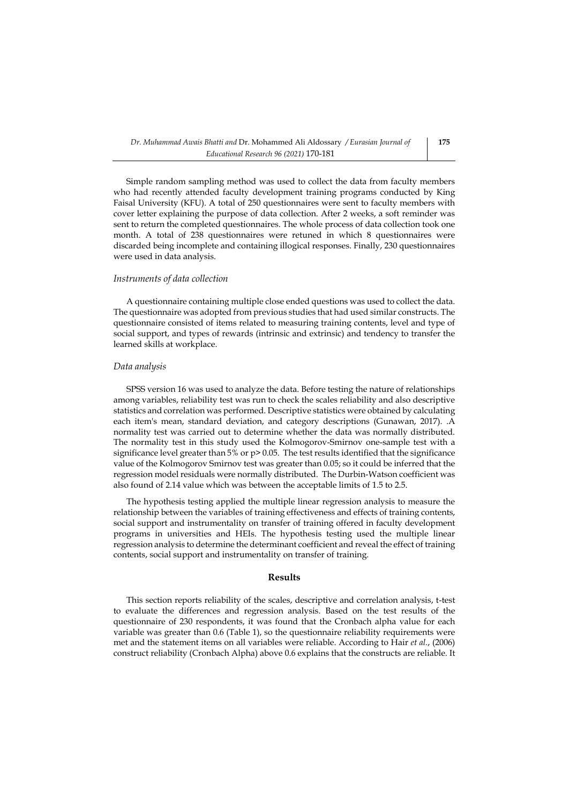Simple random sampling method was used to collect the data from faculty members who had recently attended faculty development training programs conducted by King Faisal University (KFU). A total of 250 questionnaires were sent to faculty members with cover letter explaining the purpose of data collection. After 2 weeks, a soft reminder was sent to return the completed questionnaires. The whole process of data collection took one month. A total of 238 questionnaires were retuned in which 8 questionnaires were discarded being incomplete and containing illogical responses. Finally, 230 questionnaires were used in data analysis.

## *Instruments of data collection*

A questionnaire containing multiple close ended questions was used to collect the data. The questionnaire was adopted from previous studies that had used similar constructs. The questionnaire consisted of items related to measuring training contents, level and type of social support, and types of rewards (intrinsic and extrinsic) and tendency to transfer the learned skills at workplace.

#### *Data analysis*

SPSS version 16 was used to analyze the data. Before testing the nature of relationships among variables, reliability test was run to check the scales reliability and also descriptive statistics and correlation was performed. Descriptive statistics were obtained by calculating each item's mean, standard deviation, and category descriptions (Gunawan, 2017). .A normality test was carried out to determine whether the data was normally distributed. The normality test in this study used the Kolmogorov-Smirnov one-sample test with a significance level greater than 5% or p> 0.05. The test results identified that the significance value of the Kolmogorov Smirnov test was greater than 0.05; so it could be inferred that the regression model residuals were normally distributed. The Durbin-Watson coefficient was also found of 2.14 value which was between the acceptable limits of 1.5 to 2.5.

The hypothesis testing applied the multiple linear regression analysis to measure the relationship between the variables of training effectiveness and effects of training contents, social support and instrumentality on transfer of training offered in faculty development programs in universities and HEIs. The hypothesis testing used the multiple linear regression analysis to determine the determinant coefficient and reveal the effect of training contents, social support and instrumentality on transfer of training.

## **Results**

This section reports reliability of the scales, descriptive and correlation analysis, t-test to evaluate the differences and regression analysis. Based on the test results of the questionnaire of 230 respondents, it was found that the Cronbach alpha value for each variable was greater than 0.6 (Table 1), so the questionnaire reliability requirements were met and the statement items on all variables were reliable. According to Hair *et al.*, (2006) construct reliability (Cronbach Alpha) above 0.6 explains that the constructs are reliable. It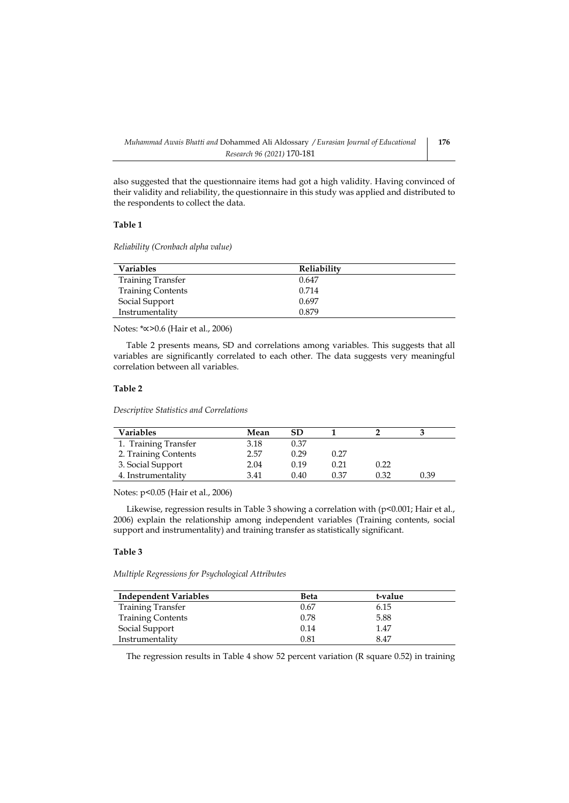also suggested that the questionnaire items had got a high validity. Having convinced of their validity and reliability, the questionnaire in this study was applied and distributed to the respondents to collect the data.

# **Table 1**

*Reliability (Cronbach alpha value)*

| <b>Variables</b>         | Reliability |
|--------------------------|-------------|
| <b>Training Transfer</b> | 0.647       |
| <b>Training Contents</b> | 0.714       |
| Social Support           | 0.697       |
| Instrumentality          | 0.879       |

Notes: \*∝>0.6 (Hair et al., 2006)

Table 2 presents means, SD and correlations among variables. This suggests that all variables are significantly correlated to each other. The data suggests very meaningful correlation between all variables.

# **Table 2**

*Descriptive Statistics and Correlations*

| <b>Variables</b>     | Mean | SD.  |      |      |      |
|----------------------|------|------|------|------|------|
| 1. Training Transfer | 3.18 | 0.37 |      |      |      |
| 2. Training Contents | 2.57 | 0.29 | 0.27 |      |      |
| 3. Social Support    | 2.04 | 0.19 | 0.21 | 0.22 |      |
| 4. Instrumentality   | 3.41 | 0.40 | 0.37 | 0.32 | 0.39 |

Notes: p<0.05 (Hair et al., 2006)

Likewise, regression results in Table 3 showing a correlation with (p<0.001; Hair et al., 2006) explain the relationship among independent variables (Training contents, social support and instrumentality) and training transfer as statistically significant.

# **Table 3**

*Multiple Regressions for Psychological Attributes*

| <b>Independent Variables</b> | Beta | t-value |  |
|------------------------------|------|---------|--|
| <b>Training Transfer</b>     | 0.67 | 6.15    |  |
| <b>Training Contents</b>     | 0.78 | 5.88    |  |
| Social Support               | 0.14 | 1.47    |  |
| Instrumentality              | 0.81 | 8.47    |  |

The regression results in Table 4 show 52 percent variation (R square 0.52) in training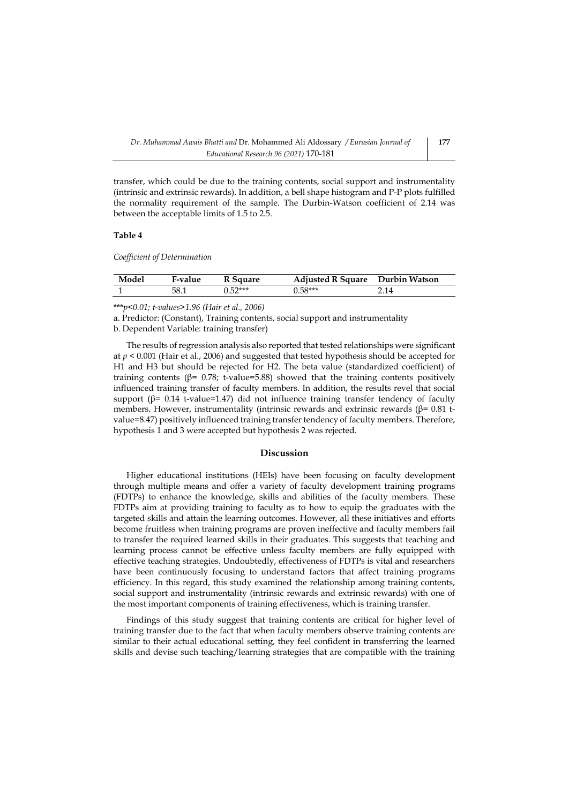transfer, which could be due to the training contents, social support and instrumentality (intrinsic and extrinsic rewards). In addition, a bell shape histogram and P-P plots fulfilled the normality requirement of the sample. The Durbin-Watson coefficient of 2.14 was between the acceptable limits of 1.5 to 2.5.

## **Table 4**

*Coefficient of Determination*

| Model | F-value | <sup>7</sup> Sauare | <b>Adiusted R Square</b> | Durbin Watson |
|-------|---------|---------------------|--------------------------|---------------|
|       | 58.1    | $0.52***$           | $0.58***$                | 2.14          |

\*\*\**p<0.01; t-values>1.96 (Hair et al., 2006)*

a. Predictor: (Constant), Training contents, social support and instrumentality

b. Dependent Variable: training transfer)

The results of regression analysis also reported that tested relationships were significant at  $p \le 0.001$  (Hair et al., 2006) and suggested that tested hypothesis should be accepted for H1 and H3 but should be rejected for H2. The beta value (standardized coefficient) of training contents ( $β = 0.78$ ; t-value=5.88) showed that the training contents positively influenced training transfer of faculty members. In addition, the results revel that social support ( $\beta$ = 0.14 t-value=1.47) did not influence training transfer tendency of faculty members. However, instrumentality (intrinsic rewards and extrinsic rewards ( $\beta$ = 0.81 tvalue=8.47) positively influenced training transfer tendency of faculty members. Therefore, hypothesis 1 and 3 were accepted but hypothesis 2 was rejected.

# **Discussion**

Higher educational institutions (HEIs) have been focusing on faculty development through multiple means and offer a variety of faculty development training programs (FDTPs) to enhance the knowledge, skills and abilities of the faculty members. These FDTPs aim at providing training to faculty as to how to equip the graduates with the targeted skills and attain the learning outcomes. However, all these initiatives and efforts become fruitless when training programs are proven ineffective and faculty members fail to transfer the required learned skills in their graduates. This suggests that teaching and learning process cannot be effective unless faculty members are fully equipped with effective teaching strategies. Undoubtedly, effectiveness of FDTPs is vital and researchers have been continuously focusing to understand factors that affect training programs efficiency. In this regard, this study examined the relationship among training contents, social support and instrumentality (intrinsic rewards and extrinsic rewards) with one of the most important components of training effectiveness, which is training transfer.

Findings of this study suggest that training contents are critical for higher level of training transfer due to the fact that when faculty members observe training contents are similar to their actual educational setting, they feel confident in transferring the learned skills and devise such teaching/learning strategies that are compatible with the training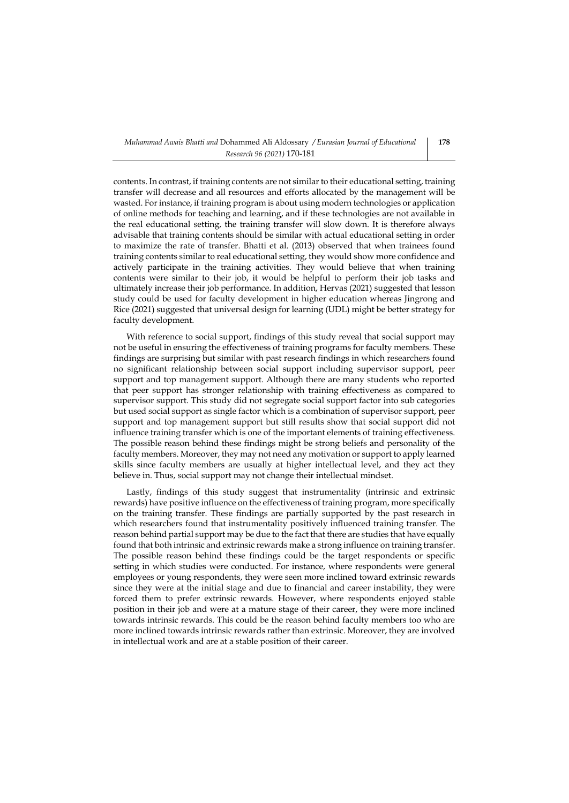contents. In contrast, if training contents are not similar to their educational setting, training transfer will decrease and all resources and efforts allocated by the management will be wasted. For instance, if training program is about using modern technologies or application of online methods for teaching and learning, and if these technologies are not available in the real educational setting, the training transfer will slow down. It is therefore always advisable that training contents should be similar with actual educational setting in order to maximize the rate of transfer. Bhatti et al. (2013) observed that when trainees found training contents similar to real educational setting, they would show more confidence and actively participate in the training activities. They would believe that when training contents were similar to their job, it would be helpful to perform their job tasks and ultimately increase their job performance. In addition, Hervas (2021) suggested that lesson study could be used for faculty development in higher education whereas Jingrong and Rice (2021) suggested that universal design for learning (UDL) might be better strategy for faculty development.

With reference to social support, findings of this study reveal that social support may not be useful in ensuring the effectiveness of training programs for faculty members. These findings are surprising but similar with past research findings in which researchers found no significant relationship between social support including supervisor support, peer support and top management support. Although there are many students who reported that peer support has stronger relationship with training effectiveness as compared to supervisor support. This study did not segregate social support factor into sub categories but used social support as single factor which is a combination of supervisor support, peer support and top management support but still results show that social support did not influence training transfer which is one of the important elements of training effectiveness. The possible reason behind these findings might be strong beliefs and personality of the faculty members. Moreover, they may not need any motivation or support to apply learned skills since faculty members are usually at higher intellectual level, and they act they believe in. Thus, social support may not change their intellectual mindset.

Lastly, findings of this study suggest that instrumentality (intrinsic and extrinsic rewards) have positive influence on the effectiveness of training program, more specifically on the training transfer. These findings are partially supported by the past research in which researchers found that instrumentality positively influenced training transfer. The reason behind partial support may be due to the fact that there are studies that have equally found that both intrinsic and extrinsic rewards make a strong influence on training transfer. The possible reason behind these findings could be the target respondents or specific setting in which studies were conducted. For instance, where respondents were general employees or young respondents, they were seen more inclined toward extrinsic rewards since they were at the initial stage and due to financial and career instability, they were forced them to prefer extrinsic rewards. However, where respondents enjoyed stable position in their job and were at a mature stage of their career, they were more inclined towards intrinsic rewards. This could be the reason behind faculty members too who are more inclined towards intrinsic rewards rather than extrinsic. Moreover, they are involved in intellectual work and are at a stable position of their career.

**178**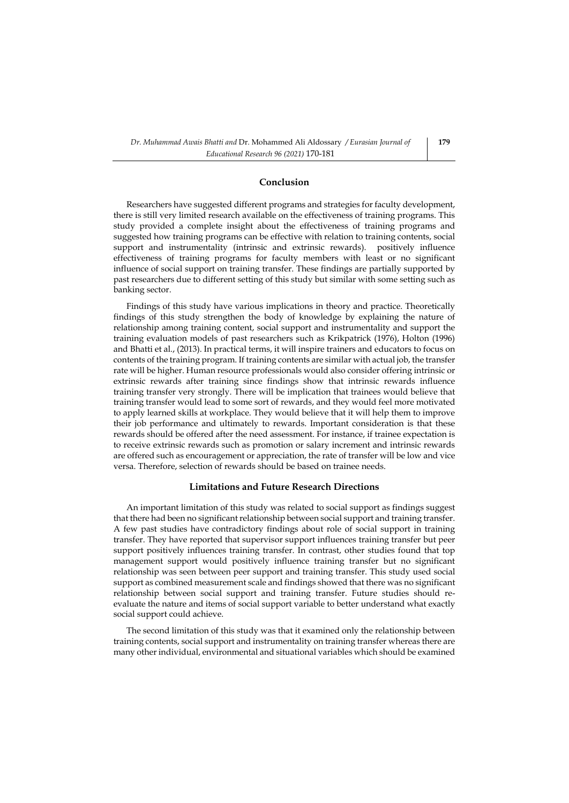# **Conclusion**

Researchers have suggested different programs and strategies for faculty development, there is still very limited research available on the effectiveness of training programs. This study provided a complete insight about the effectiveness of training programs and suggested how training programs can be effective with relation to training contents, social support and instrumentality (intrinsic and extrinsic rewards). positively influence effectiveness of training programs for faculty members with least or no significant influence of social support on training transfer. These findings are partially supported by past researchers due to different setting of this study but similar with some setting such as banking sector.

Findings of this study have various implications in theory and practice. Theoretically findings of this study strengthen the body of knowledge by explaining the nature of relationship among training content, social support and instrumentality and support the training evaluation models of past researchers such as Krikpatrick (1976), Holton (1996) and Bhatti et al., (2013). In practical terms, it will inspire trainers and educators to focus on contents of the training program. If training contents are similar with actual job, the transfer rate will be higher. Human resource professionals would also consider offering intrinsic or extrinsic rewards after training since findings show that intrinsic rewards influence training transfer very strongly. There will be implication that trainees would believe that training transfer would lead to some sort of rewards, and they would feel more motivated to apply learned skills at workplace. They would believe that it will help them to improve their job performance and ultimately to rewards. Important consideration is that these rewards should be offered after the need assessment. For instance, if trainee expectation is to receive extrinsic rewards such as promotion or salary increment and intrinsic rewards are offered such as encouragement or appreciation, the rate of transfer will be low and vice versa. Therefore, selection of rewards should be based on trainee needs.

## **Limitations and Future Research Directions**

An important limitation of this study was related to social support as findings suggest that there had been no significant relationship between social support and training transfer. A few past studies have contradictory findings about role of social support in training transfer. They have reported that supervisor support influences training transfer but peer support positively influences training transfer. In contrast, other studies found that top management support would positively influence training transfer but no significant relationship was seen between peer support and training transfer. This study used social support as combined measurement scale and findings showed that there was no significant relationship between social support and training transfer. Future studies should reevaluate the nature and items of social support variable to better understand what exactly social support could achieve.

The second limitation of this study was that it examined only the relationship between training contents, social support and instrumentality on training transfer whereas there are many other individual, environmental and situational variables which should be examined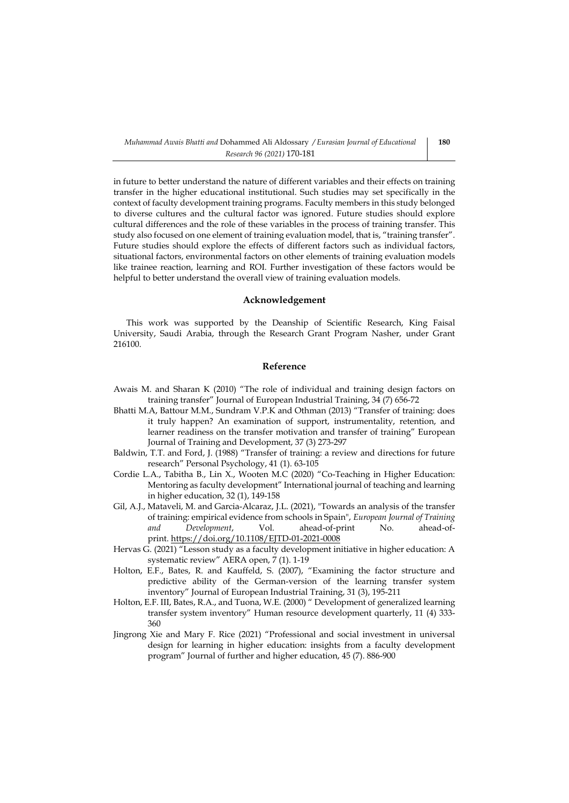in future to better understand the nature of different variables and their effects on training transfer in the higher educational institutional. Such studies may set specifically in the context of faculty development training programs. Faculty members in this study belonged to diverse cultures and the cultural factor was ignored. Future studies should explore cultural differences and the role of these variables in the process of training transfer. This study also focused on one element of training evaluation model, that is, "training transfer". Future studies should explore the effects of different factors such as individual factors, situational factors, environmental factors on other elements of training evaluation models like trainee reaction, learning and ROI. Further investigation of these factors would be helpful to better understand the overall view of training evaluation models.

# **Acknowledgement**

This work was supported by the Deanship of Scientific Research, King Faisal University, Saudi Arabia, through the Research Grant Program Nasher, under Grant 216100.

# **Reference**

- Awais M. and Sharan K (2010) "The role of individual and training design factors on training transfer" Journal of European Industrial Training, 34 (7) 656-72
- Bhatti M.A, Battour M.M., Sundram V.P.K and Othman (2013) "Transfer of training: does it truly happen? An examination of support, instrumentality, retention, and learner readiness on the transfer motivation and transfer of training" European Journal of Training and Development, 37 (3) 273-297
- Baldwin, T.T. and Ford, J. (1988) "Transfer of training: a review and directions for future research" Personal Psychology, 41 (1). 63-105
- Cordie L.A., Tabitha B., Lin X., Wooten M.C (2020) "Co-Teaching in Higher Education: Mentoring as faculty development" International journal of teaching and learning in higher education, 32 (1), 149-158
- [Gil, A.J.,](https://www.emerald.com/insight/search?q=Alfonso%20J.%20Gil) [Mataveli, M.](https://www.emerald.com/insight/search?q=Mara%20Mataveli) and [Garcia-Alcaraz, J.L.](https://www.emerald.com/insight/search?q=Jorge%20L.%20Garcia-Alcaraz) (2021), "Towards an analysis of the transfer of training: empirical evidence from schools in Spain", *[European Journal of Training](https://www.emerald.com/insight/publication/issn/2046-9012)  [and Development](https://www.emerald.com/insight/publication/issn/2046-9012)*, Vol. ahead-of-print No. ahead-ofprint. <https://doi.org/10.1108/EJTD-01-2021-0008>
- Hervas G. (2021) "Lesson study as a faculty development initiative in higher education: A systematic review" AERA open, 7 (1). 1-19
- Holton, E.F., Bates, R. and Kauffeld, S. (2007), "Examining the factor structure and predictive ability of the German-version of the learning transfer system inventory" Journal of European Industrial Training, 31 (3), 195-211
- Holton, E.F. III, Bates, R.A., and Tuona, W.E. (2000) " Development of generalized learning transfer system inventory" Human resource development quarterly, 11 (4) 333- 360
- Jingrong Xie and Mary F. Rice (2021) "Professional and social investment in universal design for learning in higher education: insights from a faculty development program" Journal of further and higher education, 45 (7). 886-900